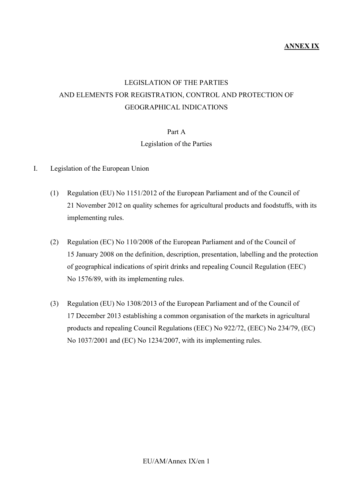### **ANNEX IX**

# LEGISLATION OF THE PARTIES AND ELEMENTS FOR REGISTRATION, CONTROL AND PROTECTION OF GEOGRAPHICAL INDICATIONS

#### Part A

#### Legislation of the Parties

- I. Legislation of the European Union
	- (1) Regulation (EU) No 1151/2012 of the European Parliament and of the Council of 21 November 2012 on quality schemes for agricultural products and foodstuffs, with its implementing rules.
	- (2) Regulation (EC) No 110/2008 of the European Parliament and of the Council of 15 January 2008 on the definition, description, presentation, labelling and the protection of geographical indications of spirit drinks and repealing Council Regulation (EEC) No 1576/89, with its implementing rules.
	- (3) Regulation (EU) No 1308/2013 of the European Parliament and of the Council of 17 December 2013 establishing a common organisation of the markets in agricultural products and repealing Council Regulations (EEC) No 922/72, (EEC) No 234/79, (EC) No 1037/2001 and (EC) No 1234/2007, with its implementing rules.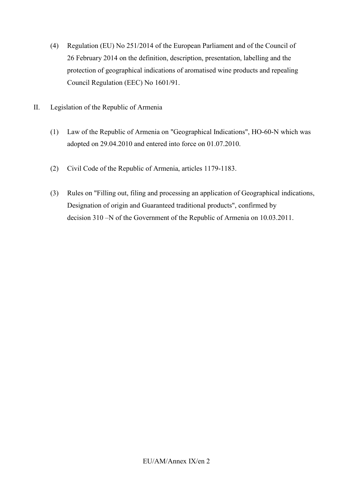- (4) Regulation (EU) No 251/2014 of the European Parliament and of the Council of 26 February 2014 on the definition, description, presentation, labelling and the protection of geographical indications of aromatised wine products and repealing Council Regulation (EEC) No 1601/91.
- II. Legislation of the Republic of Armenia
	- (1) Law of the Republic of Armenia on "Geographical Indications", HO-60-N which was adopted on 29.04.2010 and entered into force on 01.07.2010.
	- (2) Civil Code of the Republic of Armenia, articles 1179-1183.
	- (3) Rules on "Filling out, filing and processing an application of Geographical indications, Designation of origin and Guaranteed traditional products", confirmed by decision 310 –N of the Government of the Republic of Armenia on 10.03.2011.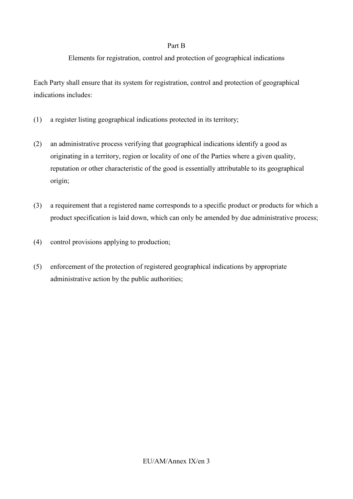#### Part B

## Elements for registration, control and protection of geographical indications

Each Party shall ensure that its system for registration, control and protection of geographical indications includes:

- (1) a register listing geographical indications protected in its territory;
- (2) an administrative process verifying that geographical indications identify a good as originating in a territory, region or locality of one of the Parties where a given quality, reputation or other characteristic of the good is essentially attributable to its geographical origin;
- (3) a requirement that a registered name corresponds to a specific product or products for which a product specification is laid down, which can only be amended by due administrative process;
- (4) control provisions applying to production;
- (5) enforcement of the protection of registered geographical indications by appropriate administrative action by the public authorities;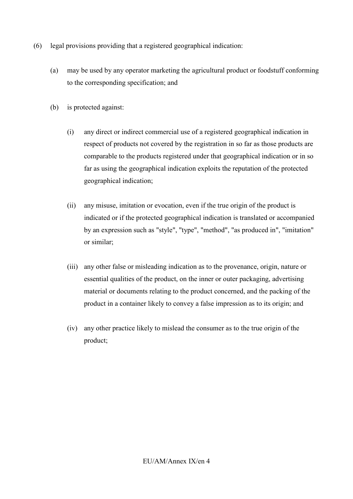- (6) legal provisions providing that a registered geographical indication:
	- (a) may be used by any operator marketing the agricultural product or foodstuff conforming to the corresponding specification; and
	- (b) is protected against:
		- (i) any direct or indirect commercial use of a registered geographical indication in respect of products not covered by the registration in so far as those products are comparable to the products registered under that geographical indication or in so far as using the geographical indication exploits the reputation of the protected geographical indication;
		- (ii) any misuse, imitation or evocation, even if the true origin of the product is indicated or if the protected geographical indication is translated or accompanied by an expression such as "style", "type", "method", "as produced in", "imitation" or similar;
		- (iii) any other false or misleading indication as to the provenance, origin, nature or essential qualities of the product, on the inner or outer packaging, advertising material or documents relating to the product concerned, and the packing of the product in a container likely to convey a false impression as to its origin; and
		- (iv) any other practice likely to mislead the consumer as to the true origin of the product;